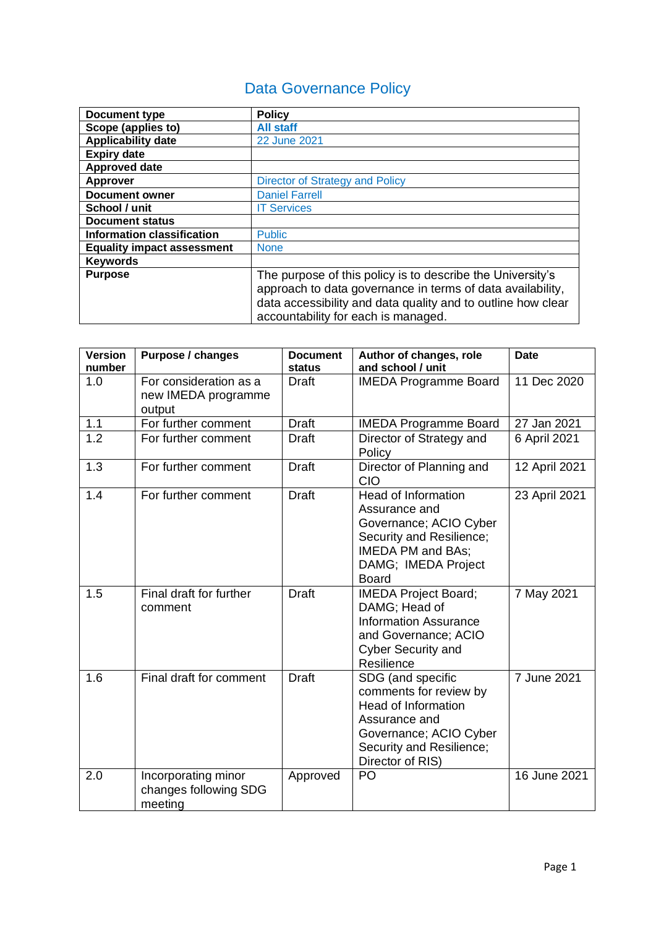# Data Governance Policy

| <b>Document type</b>              | <b>Policy</b>                                                                                                                                                                                                                   |
|-----------------------------------|---------------------------------------------------------------------------------------------------------------------------------------------------------------------------------------------------------------------------------|
| Scope (applies to)                | <b>All staff</b>                                                                                                                                                                                                                |
| <b>Applicability date</b>         | 22 June 2021                                                                                                                                                                                                                    |
| <b>Expiry date</b>                |                                                                                                                                                                                                                                 |
| <b>Approved date</b>              |                                                                                                                                                                                                                                 |
| <b>Approver</b>                   | Director of Strategy and Policy                                                                                                                                                                                                 |
| <b>Document owner</b>             | <b>Daniel Farrell</b>                                                                                                                                                                                                           |
| School / unit                     | <b>IT Services</b>                                                                                                                                                                                                              |
| <b>Document status</b>            |                                                                                                                                                                                                                                 |
| <b>Information classification</b> | <b>Public</b>                                                                                                                                                                                                                   |
| <b>Equality impact assessment</b> | <b>None</b>                                                                                                                                                                                                                     |
| <b>Keywords</b>                   |                                                                                                                                                                                                                                 |
| <b>Purpose</b>                    | The purpose of this policy is to describe the University's<br>approach to data governance in terms of data availability,<br>data accessibility and data quality and to outline how clear<br>accountability for each is managed. |

| <b>Version</b><br>number | <b>Purpose / changes</b>                                | <b>Document</b><br>status | Author of changes, role<br>and school / unit                                                                                                                         | <b>Date</b>   |
|--------------------------|---------------------------------------------------------|---------------------------|----------------------------------------------------------------------------------------------------------------------------------------------------------------------|---------------|
| 1.0                      | For consideration as a<br>new IMEDA programme<br>output | Draft                     | <b>IMEDA Programme Board</b>                                                                                                                                         | 11 Dec 2020   |
| 1.1                      | For further comment                                     | <b>Draft</b>              | <b>IMEDA Programme Board</b>                                                                                                                                         | 27 Jan 2021   |
| 1.2                      | For further comment                                     | <b>Draft</b>              | Director of Strategy and<br>Policy                                                                                                                                   | 6 April 2021  |
| 1.3                      | For further comment                                     | <b>Draft</b>              | Director of Planning and<br><b>CIO</b>                                                                                                                               | 12 April 2021 |
| 1.4                      | For further comment                                     | <b>Draft</b>              | <b>Head of Information</b><br>Assurance and<br>Governance; ACIO Cyber<br>Security and Resilience;<br><b>IMEDA PM and BAs;</b><br>DAMG; IMEDA Project<br><b>Board</b> | 23 April 2021 |
| 1.5                      | Final draft for further<br>comment                      | <b>Draft</b>              | <b>IMEDA Project Board;</b><br>DAMG; Head of<br><b>Information Assurance</b><br>and Governance; ACIO<br><b>Cyber Security and</b><br>Resilience                      | 7 May 2021    |
| 1.6                      | Final draft for comment                                 | <b>Draft</b>              | SDG (and specific<br>comments for review by<br><b>Head of Information</b><br>Assurance and<br>Governance; ACIO Cyber<br>Security and Resilience;<br>Director of RIS) | 7 June 2021   |
| 2.0                      | Incorporating minor<br>changes following SDG<br>meeting | Approved                  | PO                                                                                                                                                                   | 16 June 2021  |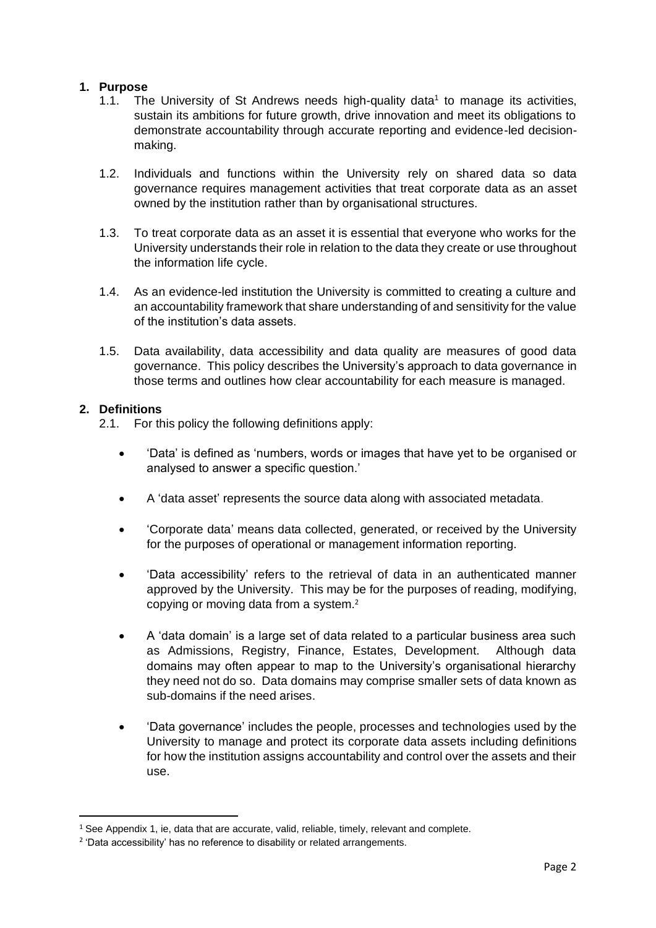### **1. Purpose**

- 1.1. The University of St Andrews needs high-quality data<sup>1</sup> to manage its activities, sustain its ambitions for future growth, drive innovation and meet its obligations to demonstrate accountability through accurate reporting and evidence-led decisionmaking.
- 1.2. Individuals and functions within the University rely on shared data so data governance requires management activities that treat corporate data as an asset owned by the institution rather than by organisational structures.
- 1.3. To treat corporate data as an asset it is essential that everyone who works for the University understands their role in relation to the data they create or use throughout the information life cycle.
- 1.4. As an evidence-led institution the University is committed to creating a culture and an accountability framework that share understanding of and sensitivity for the value of the institution's data assets.
- 1.5. Data availability, data accessibility and data quality are measures of good data governance. This policy describes the University's approach to data governance in those terms and outlines how clear accountability for each measure is managed.

### **2. Definitions**

2.1. For this policy the following definitions apply:

- 'Data' is defined as 'numbers, words or images that have yet to be organised or analysed to answer a specific question.'
- A 'data asset' represents the source data along with associated metadata.
- 'Corporate data' means data collected, generated, or received by the University for the purposes of operational or management information reporting.
- 'Data accessibility' refers to the retrieval of data in an authenticated manner approved by the University. This may be for the purposes of reading, modifying, copying or moving data from a system. 2
- A 'data domain' is a large set of data related to a particular business area such as Admissions, Registry, Finance, Estates, Development. Although data domains may often appear to map to the University's organisational hierarchy they need not do so. Data domains may comprise smaller sets of data known as sub-domains if the need arises.
- 'Data governance' includes the people, processes and technologies used by the University to manage and protect its corporate data assets including definitions for how the institution assigns accountability and control over the assets and their use.

<sup>&</sup>lt;sup>1</sup> See Appendix 1, ie, data that are accurate, valid, reliable, timely, relevant and complete.

<sup>&</sup>lt;sup>2</sup> 'Data accessibility' has no reference to disability or related arrangements.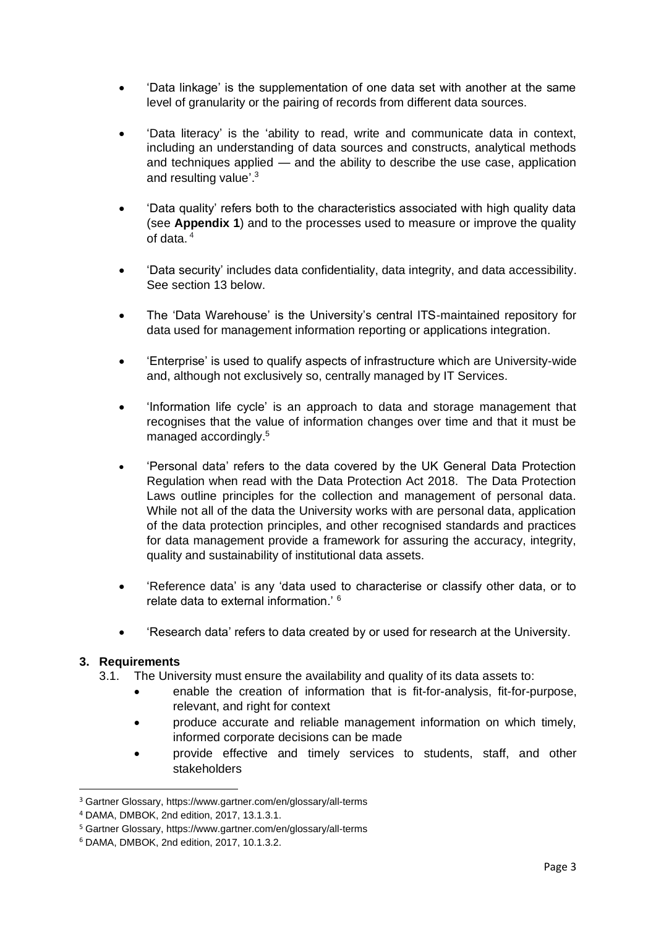- 'Data linkage' is the supplementation of one data set with another at the same level of granularity or the pairing of records from different data sources.
- 'Data literacy' is the 'ability to read, write and communicate data in context, including an understanding of data sources and constructs, analytical methods and techniques applied — and the ability to describe the use case, application and resulting value'.<sup>3</sup>
- 'Data quality' refers both to the characteristics associated with high quality data (see **Appendix 1**) and to the processes used to measure or improve the quality of data. <sup>4</sup>
- 'Data security' includes data confidentiality, data integrity, and data accessibility. See section 13 below.
- The 'Data Warehouse' is the University's central ITS-maintained repository for data used for management information reporting or applications integration.
- 'Enterprise' is used to qualify aspects of infrastructure which are University-wide and, although not exclusively so, centrally managed by IT Services.
- 'Information life cycle' is an approach to data and storage management that recognises that the value of information changes over time and that it must be managed accordingly.<sup>5</sup>
- 'Personal data' refers to the data covered by the UK General Data Protection Regulation when read with the Data Protection Act 2018. The Data Protection Laws outline principles for the collection and management of personal data. While not all of the data the University works with are personal data, application of the data protection principles, and other recognised standards and practices for data management provide a framework for assuring the accuracy, integrity, quality and sustainability of institutional data assets.
- 'Reference data' is any 'data used to characterise or classify other data, or to relate data to external information.' <sup>6</sup>
- 'Research data' refers to data created by or used for research at the University.

### **3. Requirements**

- 3.1. The University must ensure the availability and quality of its data assets to:
	- enable the creation of information that is fit-for-analysis, fit-for-purpose, relevant, and right for context
	- produce accurate and reliable management information on which timely, informed corporate decisions can be made
	- provide effective and timely services to students, staff, and other stakeholders

<sup>3</sup> Gartner Glossary,<https://www.gartner.com/en/glossary/all-terms>

<sup>4</sup> DAMA, DMBOK, 2nd edition, 2017, 13.1.3.1.

<sup>5</sup> Gartner Glossary,<https://www.gartner.com/en/glossary/all-terms>

<sup>6</sup> DAMA, DMBOK, 2nd edition, 2017, 10.1.3.2.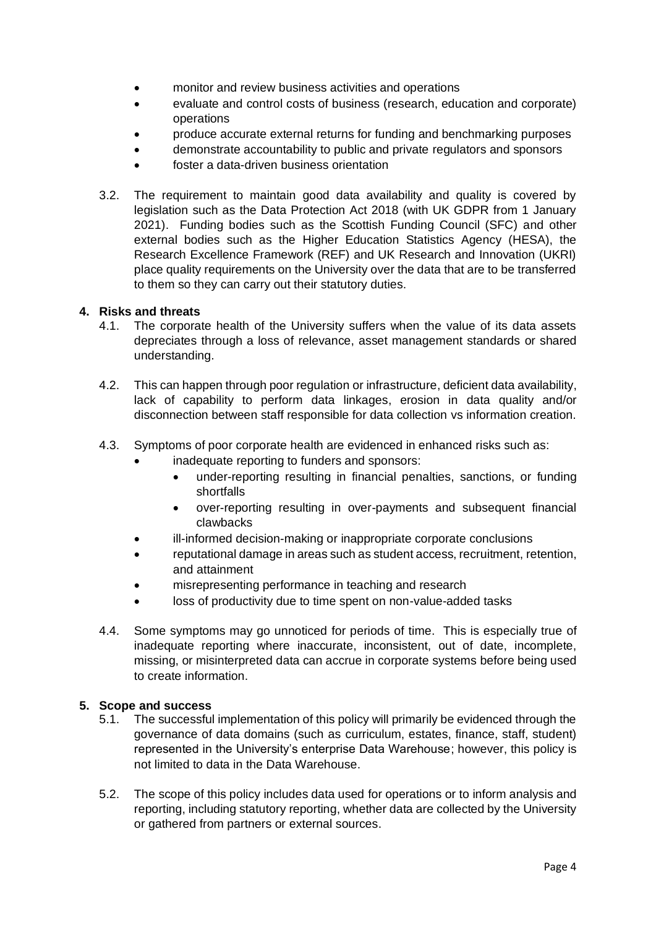- monitor and review business activities and operations
- evaluate and control costs of business (research, education and corporate) operations
- produce accurate external returns for funding and benchmarking purposes
- demonstrate accountability to public and private regulators and sponsors
- foster a data-driven business orientation
- 3.2. The requirement to maintain good data availability and quality is covered by legislation such as the Data Protection Act 2018 (with UK GDPR from 1 January 2021). Funding bodies such as the Scottish Funding Council (SFC) and other external bodies such as the Higher Education Statistics Agency (HESA), the Research Excellence Framework (REF) and UK Research and Innovation (UKRI) place quality requirements on the University over the data that are to be transferred to them so they can carry out their statutory duties.

### **4. Risks and threats**

- 4.1. The corporate health of the University suffers when the value of its data assets depreciates through a loss of relevance, asset management standards or shared understanding.
- 4.2. This can happen through poor regulation or infrastructure, deficient data availability, lack of capability to perform data linkages, erosion in data quality and/or disconnection between staff responsible for data collection vs information creation.
- 4.3. Symptoms of poor corporate health are evidenced in enhanced risks such as:
	- inadequate reporting to funders and sponsors:
		- under-reporting resulting in financial penalties, sanctions, or funding shortfalls
		- over-reporting resulting in over-payments and subsequent financial clawbacks
	- ill-informed decision-making or inappropriate corporate conclusions
	- reputational damage in areas such as student access, recruitment, retention, and attainment
	- misrepresenting performance in teaching and research
	- loss of productivity due to time spent on non-value-added tasks
- 4.4. Some symptoms may go unnoticed for periods of time. This is especially true of inadequate reporting where inaccurate, inconsistent, out of date, incomplete, missing, or misinterpreted data can accrue in corporate systems before being used to create information.

### **5. Scope and success**

- 5.1. The successful implementation of this policy will primarily be evidenced through the governance of data domains (such as curriculum, estates, finance, staff, student) represented in the University's enterprise Data Warehouse; however, this policy is not limited to data in the Data Warehouse.
- 5.2. The scope of this policy includes data used for operations or to inform analysis and reporting, including statutory reporting, whether data are collected by the University or gathered from partners or external sources.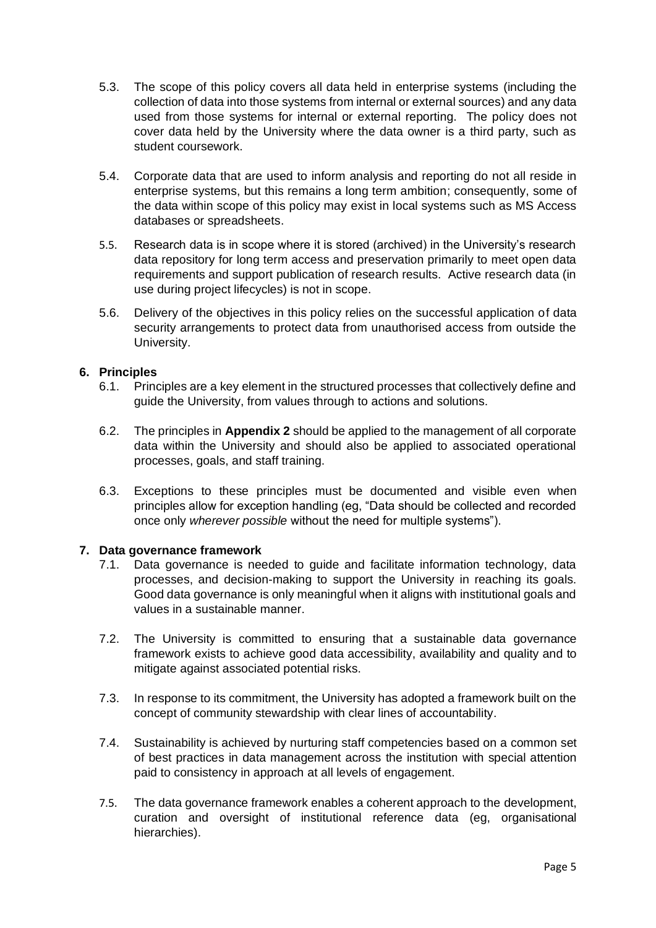- 5.3. The scope of this policy covers all data held in enterprise systems (including the collection of data into those systems from internal or external sources) and any data used from those systems for internal or external reporting. The policy does not cover data held by the University where the data owner is a third party, such as student coursework.
- 5.4. Corporate data that are used to inform analysis and reporting do not all reside in enterprise systems, but this remains a long term ambition; consequently, some of the data within scope of this policy may exist in local systems such as MS Access databases or spreadsheets.
- 5.5. Research data is in scope where it is stored (archived) in the University's research data repository for long term access and preservation primarily to meet open data requirements and support publication of research results. Active research data (in use during project lifecycles) is not in scope.
- 5.6. Delivery of the objectives in this policy relies on the successful application of data security arrangements to protect data from unauthorised access from outside the University.

### **6. Principles**

- 6.1. Principles are a key element in the structured processes that collectively define and guide the University, from values through to actions and solutions.
- 6.2. The principles in **Appendix 2** should be applied to the management of all corporate data within the University and should also be applied to associated operational processes, goals, and staff training.
- 6.3. Exceptions to these principles must be documented and visible even when principles allow for exception handling (eg, "Data should be collected and recorded once only *wherever possible* without the need for multiple systems").

### **7. Data governance framework**

- 7.1. Data governance is needed to guide and facilitate information technology, data processes, and decision-making to support the University in reaching its goals. Good data governance is only meaningful when it aligns with institutional goals and values in a sustainable manner.
- 7.2. The University is committed to ensuring that a sustainable data governance framework exists to achieve good data accessibility, availability and quality and to mitigate against associated potential risks.
- 7.3. In response to its commitment, the University has adopted a framework built on the concept of community stewardship with clear lines of accountability.
- 7.4. Sustainability is achieved by nurturing staff competencies based on a common set of best practices in data management across the institution with special attention paid to consistency in approach at all levels of engagement.
- 7.5. The data governance framework enables a coherent approach to the development, curation and oversight of institutional reference data (eg, organisational hierarchies).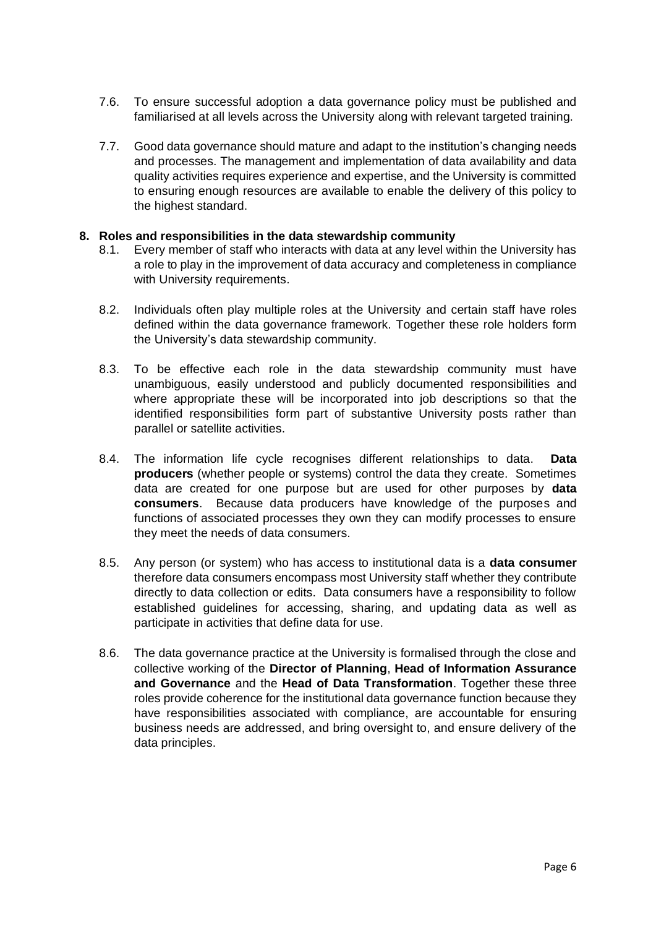- 7.6. To ensure successful adoption a data governance policy must be published and familiarised at all levels across the University along with relevant targeted training.
- 7.7. Good data governance should mature and adapt to the institution's changing needs and processes. The management and implementation of data availability and data quality activities requires experience and expertise, and the University is committed to ensuring enough resources are available to enable the delivery of this policy to the highest standard.

### **8. Roles and responsibilities in the data stewardship community**

- 8.1. Every member of staff who interacts with data at any level within the University has a role to play in the improvement of data accuracy and completeness in compliance with University requirements.
- 8.2. Individuals often play multiple roles at the University and certain staff have roles defined within the data governance framework. Together these role holders form the University's data stewardship community.
- 8.3. To be effective each role in the data stewardship community must have unambiguous, easily understood and publicly documented responsibilities and where appropriate these will be incorporated into job descriptions so that the identified responsibilities form part of substantive University posts rather than parallel or satellite activities.
- 8.4. The information life cycle recognises different relationships to data. **Data producers** (whether people or systems) control the data they create. Sometimes data are created for one purpose but are used for other purposes by **data consumers**. Because data producers have knowledge of the purposes and functions of associated processes they own they can modify processes to ensure they meet the needs of data consumers.
- 8.5. Any person (or system) who has access to institutional data is a **data consumer** therefore data consumers encompass most University staff whether they contribute directly to data collection or edits. Data consumers have a responsibility to follow established guidelines for accessing, sharing, and updating data as well as participate in activities that define data for use.
- 8.6. The data governance practice at the University is formalised through the close and collective working of the **Director of Planning**, **Head of Information Assurance and Governance** and the **Head of Data Transformation**. Together these three roles provide coherence for the institutional data governance function because they have responsibilities associated with compliance, are accountable for ensuring business needs are addressed, and bring oversight to, and ensure delivery of the data principles.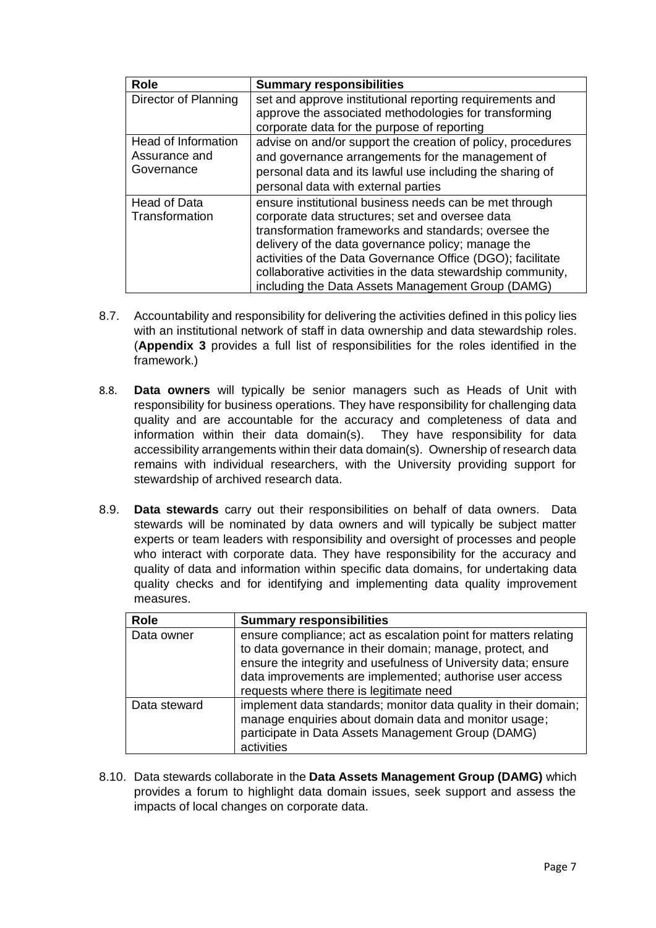| <b>Role</b>          | <b>Summary responsibilities</b>                             |
|----------------------|-------------------------------------------------------------|
| Director of Planning | set and approve institutional reporting requirements and    |
|                      | approve the associated methodologies for transforming       |
|                      | corporate data for the purpose of reporting                 |
| Head of Information  | advise on and/or support the creation of policy, procedures |
| Assurance and        | and governance arrangements for the management of           |
| Governance           | personal data and its lawful use including the sharing of   |
|                      | personal data with external parties                         |
| <b>Head of Data</b>  | ensure institutional business needs can be met through      |
| Transformation       | corporate data structures; set and oversee data             |
|                      | transformation frameworks and standards; oversee the        |
|                      | delivery of the data governance policy; manage the          |
|                      | activities of the Data Governance Office (DGO); facilitate  |
|                      | collaborative activities in the data stewardship community, |
|                      | including the Data Assets Management Group (DAMG)           |

- 8.7. Accountability and responsibility for delivering the activities defined in this policy lies with an institutional network of staff in data ownership and data stewardship roles. (**Appendix 3** provides a full list of responsibilities for the roles identified in the framework.)
- 8.8. **Data owners** will typically be senior managers such as Heads of Unit with responsibility for business operations. They have responsibility for challenging data quality and are accountable for the accuracy and completeness of data and information within their data domain(s). They have responsibility for data accessibility arrangements within their data domain(s). Ownership of research data remains with individual researchers, with the University providing support for stewardship of archived research data.
- 8.9. **Data stewards** carry out their responsibilities on behalf of data owners. Data stewards will be nominated by data owners and will typically be subject matter experts or team leaders with responsibility and oversight of processes and people who interact with corporate data. They have responsibility for the accuracy and quality of data and information within specific data domains, for undertaking data quality checks and for identifying and implementing data quality improvement measures.

| Role         | <b>Summary responsibilities</b>                                                                                                                                                                                                                                                                      |
|--------------|------------------------------------------------------------------------------------------------------------------------------------------------------------------------------------------------------------------------------------------------------------------------------------------------------|
| Data owner   | ensure compliance; act as escalation point for matters relating<br>to data governance in their domain; manage, protect, and<br>ensure the integrity and usefulness of University data; ensure<br>data improvements are implemented; authorise user access<br>requests where there is legitimate need |
| Data steward | implement data standards; monitor data quality in their domain;<br>manage enquiries about domain data and monitor usage;<br>participate in Data Assets Management Group (DAMG)<br>activities                                                                                                         |

8.10. Data stewards collaborate in the **Data Assets Management Group (DAMG)** which provides a forum to highlight data domain issues, seek support and assess the impacts of local changes on corporate data.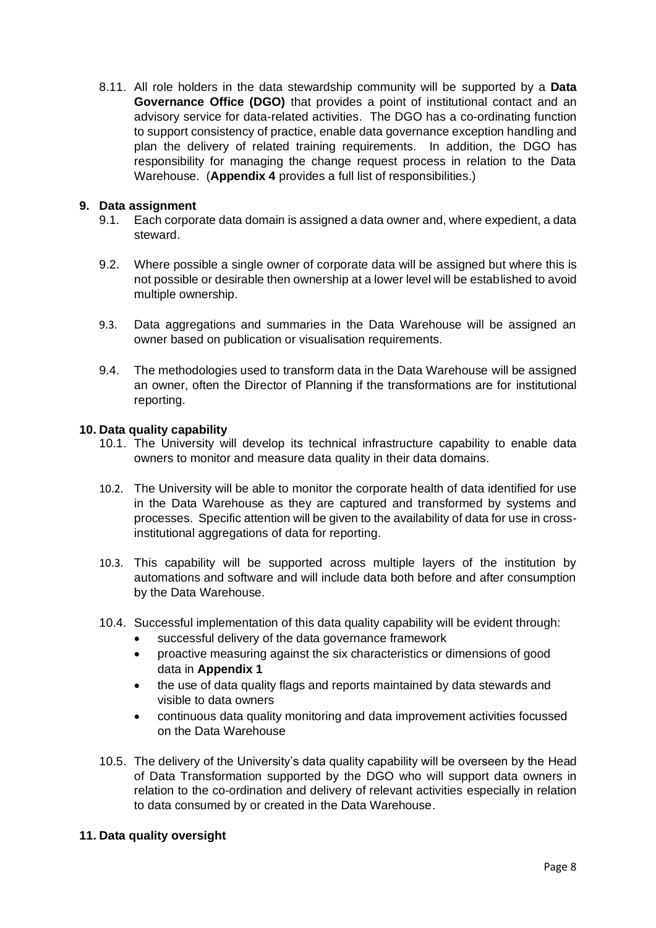8.11. All role holders in the data stewardship community will be supported by a **Data Governance Office (DGO)** that provides a point of institutional contact and an advisory service for data-related activities. The DGO has a co-ordinating function to support consistency of practice, enable data governance exception handling and plan the delivery of related training requirements. In addition, the DGO has responsibility for managing the change request process in relation to the Data Warehouse. (**Appendix 4** provides a full list of responsibilities.)

### **9. Data assignment**

- 9.1. Each corporate data domain is assigned a data owner and, where expedient, a data steward.
- 9.2. Where possible a single owner of corporate data will be assigned but where this is not possible or desirable then ownership at a lower level will be established to avoid multiple ownership.
- 9.3. Data aggregations and summaries in the Data Warehouse will be assigned an owner based on publication or visualisation requirements.
- 9.4. The methodologies used to transform data in the Data Warehouse will be assigned an owner, often the Director of Planning if the transformations are for institutional reporting.

### **10. Data quality capability**

- 10.1. The University will develop its technical infrastructure capability to enable data owners to monitor and measure data quality in their data domains.
- 10.2. The University will be able to monitor the corporate health of data identified for use in the Data Warehouse as they are captured and transformed by systems and processes. Specific attention will be given to the availability of data for use in crossinstitutional aggregations of data for reporting.
- 10.3. This capability will be supported across multiple layers of the institution by automations and software and will include data both before and after consumption by the Data Warehouse.
- 10.4. Successful implementation of this data quality capability will be evident through:
	- successful delivery of the data governance framework
	- proactive measuring against the six characteristics or dimensions of good data in **Appendix 1**
	- the use of data quality flags and reports maintained by data stewards and visible to data owners
	- continuous data quality monitoring and data improvement activities focussed on the Data Warehouse
- 10.5. The delivery of the University's data quality capability will be overseen by the Head of Data Transformation supported by the DGO who will support data owners in relation to the co-ordination and delivery of relevant activities especially in relation to data consumed by or created in the Data Warehouse.

### **11. Data quality oversight**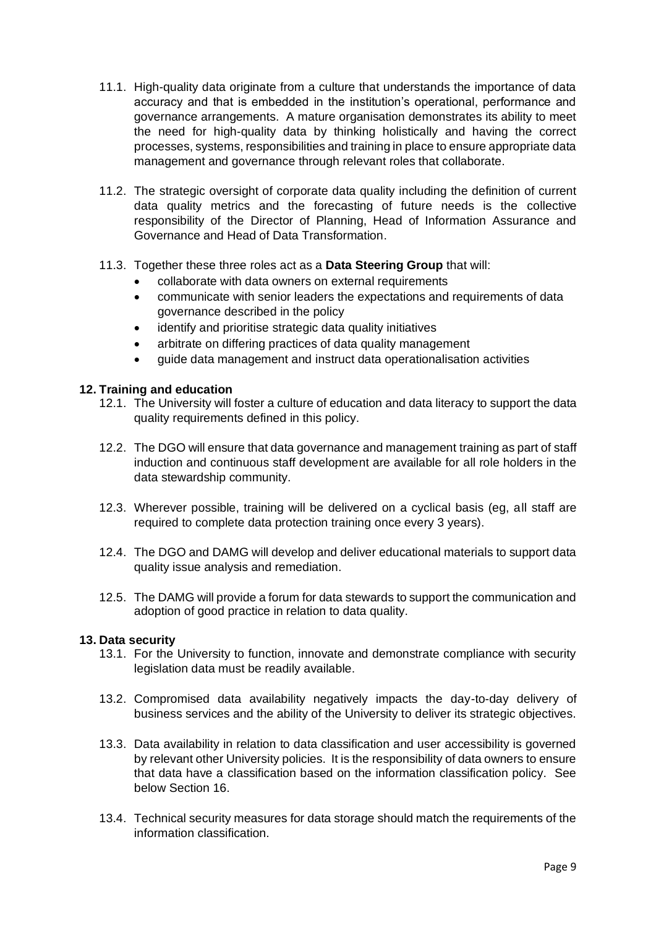- 11.1. High-quality data originate from a culture that understands the importance of data accuracy and that is embedded in the institution's operational, performance and governance arrangements. A mature organisation demonstrates its ability to meet the need for high-quality data by thinking holistically and having the correct processes, systems, responsibilities and training in place to ensure appropriate data management and governance through relevant roles that collaborate.
- 11.2. The strategic oversight of corporate data quality including the definition of current data quality metrics and the forecasting of future needs is the collective responsibility of the Director of Planning, Head of Information Assurance and Governance and Head of Data Transformation.
- 11.3. Together these three roles act as a **Data Steering Group** that will:
	- collaborate with data owners on external requirements
	- communicate with senior leaders the expectations and requirements of data governance described in the policy
	- identify and prioritise strategic data quality initiatives
	- arbitrate on differing practices of data quality management
	- guide data management and instruct data operationalisation activities

### **12. Training and education**

- 12.1. The University will foster a culture of education and data literacy to support the data quality requirements defined in this policy.
- 12.2. The DGO will ensure that data governance and management training as part of staff induction and continuous staff development are available for all role holders in the data stewardship community.
- 12.3. Wherever possible, training will be delivered on a cyclical basis (eg, all staff are required to complete data protection training once every 3 years).
- 12.4. The DGO and DAMG will develop and deliver educational materials to support data quality issue analysis and remediation.
- 12.5. The DAMG will provide a forum for data stewards to support the communication and adoption of good practice in relation to data quality.

#### **13. Data security**

- 13.1. For the University to function, innovate and demonstrate compliance with security legislation data must be readily available.
- 13.2. Compromised data availability negatively impacts the day-to-day delivery of business services and the ability of the University to deliver its strategic objectives.
- 13.3. Data availability in relation to data classification and user accessibility is governed by relevant other University policies. It is the responsibility of data owners to ensure that data have a classification based on the information classification policy. See below Section 16.
- 13.4. Technical security measures for data storage should match the requirements of the information classification.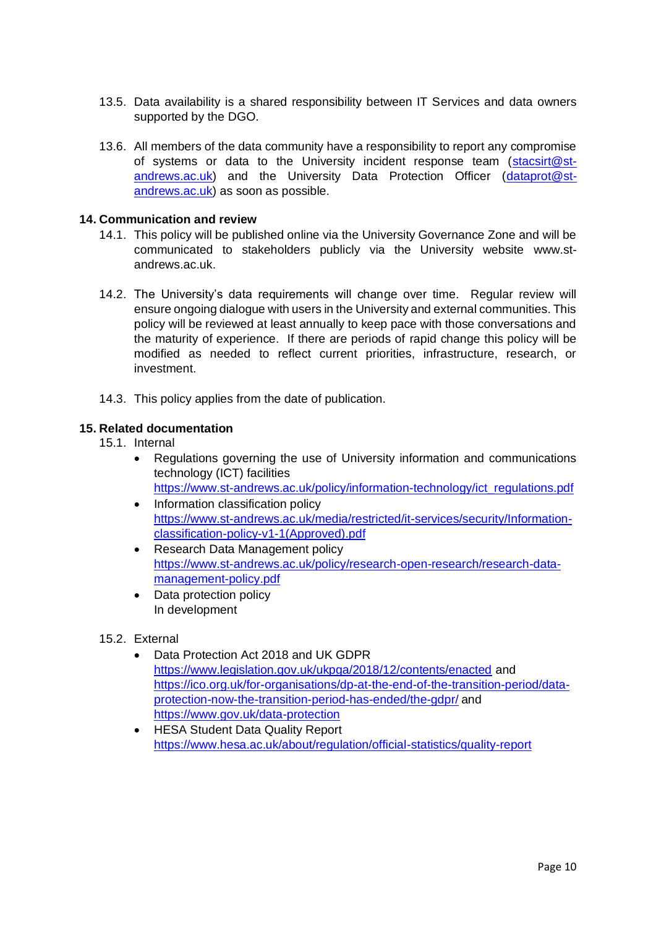- 13.5. Data availability is a shared responsibility between IT Services and data owners supported by the DGO.
- 13.6. All members of the data community have a responsibility to report any compromise of systems or data to the University incident response team [\(stacsirt@st](mailto:stacsirt@st-andrews.ac.uk)[andrews.ac.uk\)](mailto:stacsirt@st-andrews.ac.uk) and the University Data Protection Officer [\(dataprot@st](mailto:dataprot@st-andrews.ac.uk)[andrews.ac.uk\)](mailto:dataprot@st-andrews.ac.uk) as soon as possible.

### **14. Communication and review**

- 14.1. This policy will be published online via the University Governance Zone and will be communicated to stakeholders publicly via the University website [www.st](http://www.st-andrews.ac.uk/)[andrews.ac.uk.](http://www.st-andrews.ac.uk/)
- 14.2. The University's data requirements will change over time. Regular review will ensure ongoing dialogue with users in the University and external communities. This policy will be reviewed at least annually to keep pace with those conversations and the maturity of experience. If there are periods of rapid change this policy will be modified as needed to reflect current priorities, infrastructure, research, or investment.
- 14.3. This policy applies from the date of publication.

### **15. Related documentation**

15.1. Internal

- Regulations governing the use of University information and communications technology (ICT) facilities [https://www.st-andrews.ac.uk/policy/information-technology/ict\\_regulations.pdf](https://www.st-andrews.ac.uk/policy/information-technology/ict_regulations.pdf)
- Information classification policy [https://www.st-andrews.ac.uk/media/restricted/it-services/security/Information](https://www.st-andrews.ac.uk/media/restricted/it-services/security/Information-classification-policy-v1-1(Approved).pdf)[classification-policy-v1-1\(Approved\).pdf](https://www.st-andrews.ac.uk/media/restricted/it-services/security/Information-classification-policy-v1-1(Approved).pdf)
- Research Data Management policy [https://www.st-andrews.ac.uk/policy/research-open-research/research-data](https://www.st-andrews.ac.uk/policy/research-open-research/research-data-management-policy.pdf)[management-policy.pdf](https://www.st-andrews.ac.uk/policy/research-open-research/research-data-management-policy.pdf)
- Data protection policy In development

### 15.2. External

- Data Protection Act 2018 and UK GDPR <https://www.legislation.gov.uk/ukpga/2018/12/contents/enacted> and [https://ico.org.uk/for-organisations/dp-at-the-end-of-the-transition-period/data](https://ico.org.uk/for-organisations/dp-at-the-end-of-the-transition-period/data-protection-now-the-transition-period-has-ended/the-gdpr/)[protection-now-the-transition-period-has-ended/the-gdpr/](https://ico.org.uk/for-organisations/dp-at-the-end-of-the-transition-period/data-protection-now-the-transition-period-has-ended/the-gdpr/) and https://www.gov.uk/data-protection
- HESA Student Data Quality Report <https://www.hesa.ac.uk/about/regulation/official-statistics/quality-report>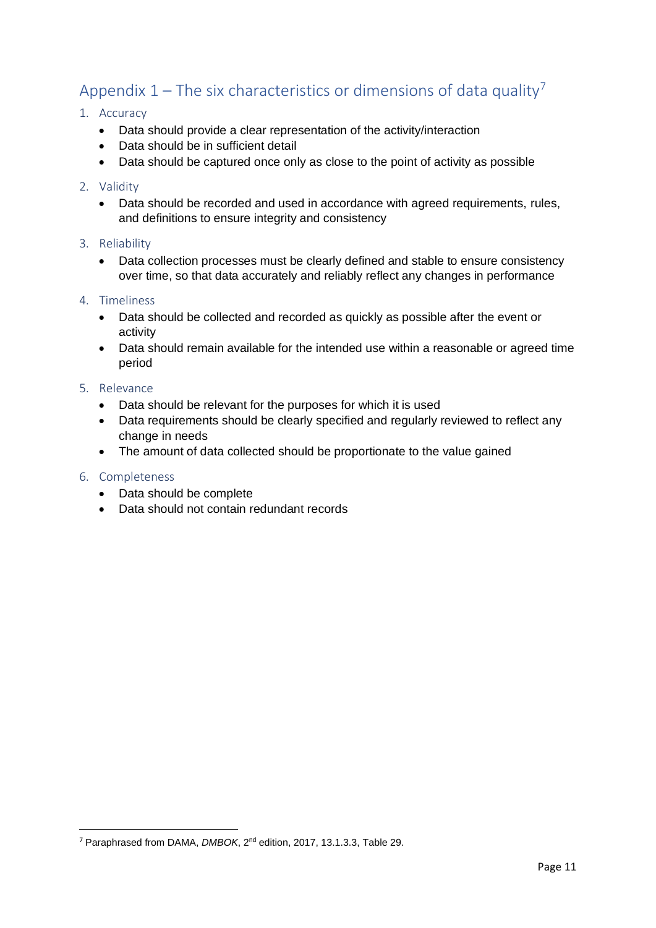# Appendix  $1$  – The six characteristics or dimensions of data quality<sup>7</sup>

### 1. Accuracy

- Data should provide a clear representation of the activity/interaction
- Data should be in sufficient detail
- Data should be captured once only as close to the point of activity as possible

### 2. Validity

• Data should be recorded and used in accordance with agreed requirements, rules, and definitions to ensure integrity and consistency

### 3. Reliability

• Data collection processes must be clearly defined and stable to ensure consistency over time, so that data accurately and reliably reflect any changes in performance

### 4. Timeliness

- Data should be collected and recorded as quickly as possible after the event or activity
- Data should remain available for the intended use within a reasonable or agreed time period

### 5. Relevance

- Data should be relevant for the purposes for which it is used
- Data requirements should be clearly specified and regularly reviewed to reflect any change in needs
- The amount of data collected should be proportionate to the value gained

### 6. Completeness

- Data should be complete
- Data should not contain redundant records

<sup>7</sup> Paraphrased from DAMA, *DMBOK*, 2nd edition, 2017, 13.1.3.3, Table 29.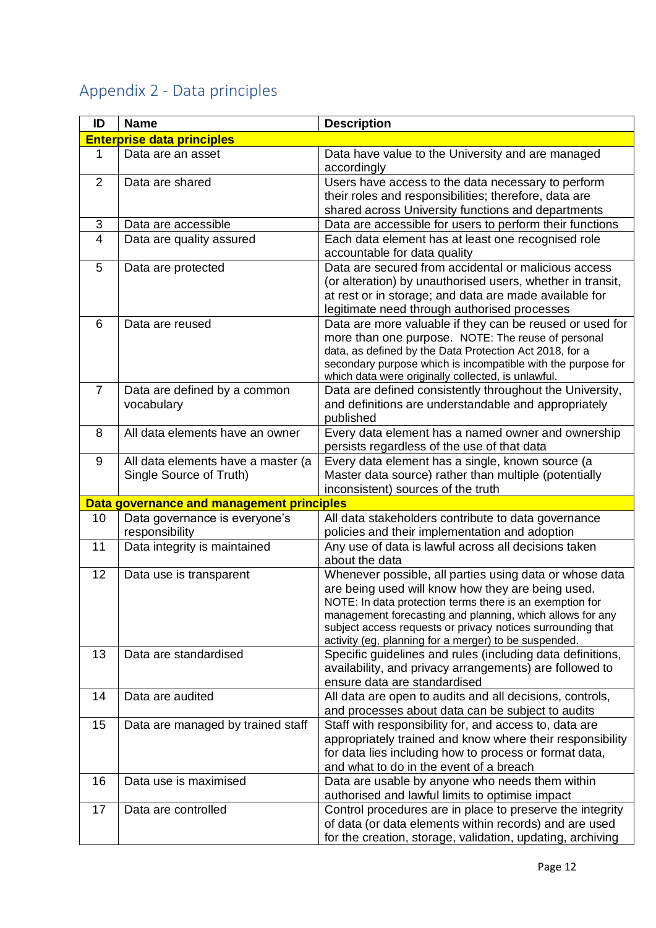# Appendix 2 - Data principles

| ID             | <b>Name</b>                               | <b>Description</b>                                                                                                    |
|----------------|-------------------------------------------|-----------------------------------------------------------------------------------------------------------------------|
|                | <b>Enterprise data principles</b>         |                                                                                                                       |
| 1              | Data are an asset                         | Data have value to the University and are managed                                                                     |
|                |                                           | accordingly                                                                                                           |
| 2              | Data are shared                           | Users have access to the data necessary to perform                                                                    |
|                |                                           | their roles and responsibilities; therefore, data are                                                                 |
|                |                                           | shared across University functions and departments                                                                    |
| 3              | Data are accessible                       | Data are accessible for users to perform their functions                                                              |
| $\overline{4}$ | Data are quality assured                  | Each data element has at least one recognised role<br>accountable for data quality                                    |
| 5              | Data are protected                        | Data are secured from accidental or malicious access                                                                  |
|                |                                           | (or alteration) by unauthorised users, whether in transit,                                                            |
|                |                                           | at rest or in storage; and data are made available for<br>legitimate need through authorised processes                |
| 6              | Data are reused                           | Data are more valuable if they can be reused or used for                                                              |
|                |                                           | more than one purpose. NOTE: The reuse of personal                                                                    |
|                |                                           | data, as defined by the Data Protection Act 2018, for a                                                               |
|                |                                           | secondary purpose which is incompatible with the purpose for                                                          |
|                |                                           | which data were originally collected, is unlawful.                                                                    |
| $\overline{7}$ | Data are defined by a common              | Data are defined consistently throughout the University,                                                              |
|                | vocabulary                                | and definitions are understandable and appropriately                                                                  |
|                |                                           | published                                                                                                             |
| 8              | All data elements have an owner           | Every data element has a named owner and ownership                                                                    |
|                |                                           | persists regardless of the use of that data                                                                           |
| 9              | All data elements have a master (a        | Every data element has a single, known source (a                                                                      |
|                | Single Source of Truth)                   | Master data source) rather than multiple (potentially                                                                 |
|                |                                           | inconsistent) sources of the truth                                                                                    |
|                | Data governance and management principles |                                                                                                                       |
| 10             | Data governance is everyone's             | All data stakeholders contribute to data governance                                                                   |
|                | responsibility                            | policies and their implementation and adoption                                                                        |
| 11             | Data integrity is maintained              | Any use of data is lawful across all decisions taken                                                                  |
|                |                                           | about the data                                                                                                        |
| 12             | Data use is transparent                   | Whenever possible, all parties using data or whose data                                                               |
|                |                                           | are being used will know how they are being used.                                                                     |
|                |                                           | NOTE: In data protection terms there is an exemption for<br>management forecasting and planning, which allows for any |
|                |                                           | subject access requests or privacy notices surrounding that                                                           |
|                |                                           | activity (eg, planning for a merger) to be suspended.                                                                 |
| 13             | Data are standardised                     | Specific guidelines and rules (including data definitions,                                                            |
|                |                                           | availability, and privacy arrangements) are followed to                                                               |
|                |                                           | ensure data are standardised                                                                                          |
| 14             | Data are audited                          | All data are open to audits and all decisions, controls,                                                              |
|                |                                           | and processes about data can be subject to audits                                                                     |
| 15             | Data are managed by trained staff         | Staff with responsibility for, and access to, data are                                                                |
|                |                                           | appropriately trained and know where their responsibility                                                             |
|                |                                           | for data lies including how to process or format data,                                                                |
|                |                                           | and what to do in the event of a breach                                                                               |
| 16             | Data use is maximised                     | Data are usable by anyone who needs them within                                                                       |
|                |                                           | authorised and lawful limits to optimise impact                                                                       |
| 17             | Data are controlled                       | Control procedures are in place to preserve the integrity                                                             |
|                |                                           | of data (or data elements within records) and are used                                                                |
|                |                                           | for the creation, storage, validation, updating, archiving                                                            |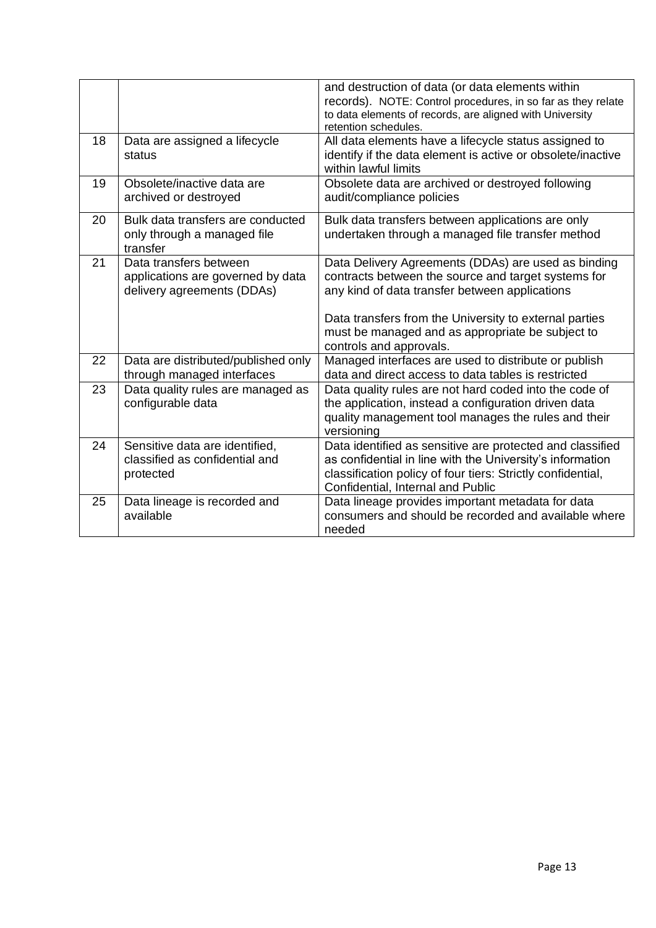|    |                                                                                           | and destruction of data (or data elements within<br>records). NOTE: Control procedures, in so far as they relate<br>to data elements of records, are aligned with University<br>retention schedules.                                                                                                  |
|----|-------------------------------------------------------------------------------------------|-------------------------------------------------------------------------------------------------------------------------------------------------------------------------------------------------------------------------------------------------------------------------------------------------------|
| 18 | Data are assigned a lifecycle<br>status                                                   | All data elements have a lifecycle status assigned to<br>identify if the data element is active or obsolete/inactive<br>within lawful limits                                                                                                                                                          |
| 19 | Obsolete/inactive data are<br>archived or destroyed                                       | Obsolete data are archived or destroyed following<br>audit/compliance policies                                                                                                                                                                                                                        |
| 20 | Bulk data transfers are conducted<br>only through a managed file<br>transfer              | Bulk data transfers between applications are only<br>undertaken through a managed file transfer method                                                                                                                                                                                                |
| 21 | Data transfers between<br>applications are governed by data<br>delivery agreements (DDAs) | Data Delivery Agreements (DDAs) are used as binding<br>contracts between the source and target systems for<br>any kind of data transfer between applications<br>Data transfers from the University to external parties<br>must be managed and as appropriate be subject to<br>controls and approvals. |
| 22 | Data are distributed/published only<br>through managed interfaces                         | Managed interfaces are used to distribute or publish<br>data and direct access to data tables is restricted                                                                                                                                                                                           |
| 23 | Data quality rules are managed as<br>configurable data                                    | Data quality rules are not hard coded into the code of<br>the application, instead a configuration driven data<br>quality management tool manages the rules and their<br>versioning                                                                                                                   |
| 24 | Sensitive data are identified,<br>classified as confidential and<br>protected             | Data identified as sensitive are protected and classified<br>as confidential in line with the University's information<br>classification policy of four tiers: Strictly confidential,<br>Confidential, Internal and Public                                                                            |
| 25 | Data lineage is recorded and<br>available                                                 | Data lineage provides important metadata for data<br>consumers and should be recorded and available where<br>needed                                                                                                                                                                                   |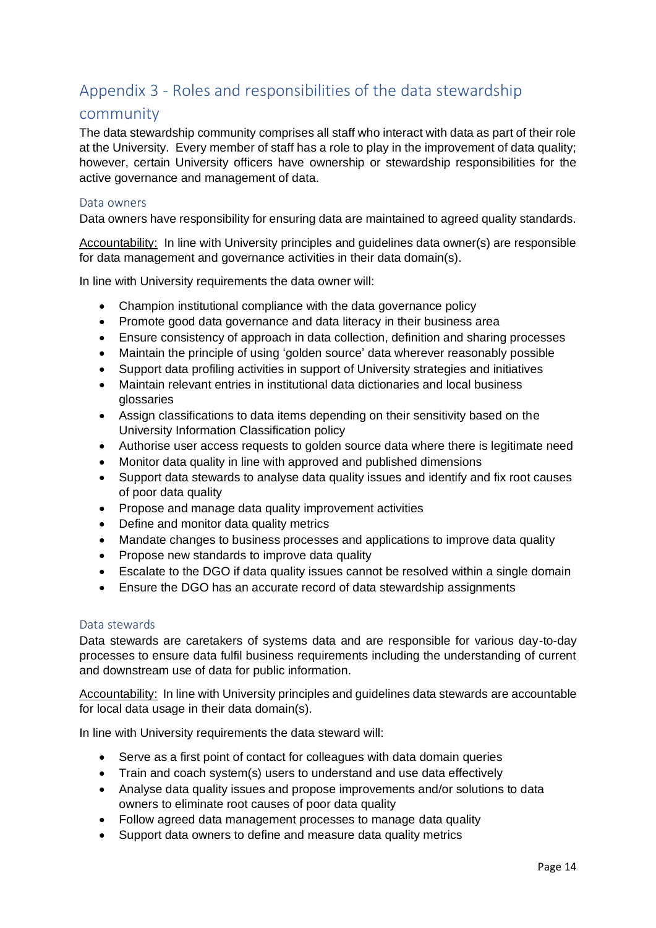# Appendix 3 - Roles and responsibilities of the data stewardship

### community

The data stewardship community comprises all staff who interact with data as part of their role at the University. Every member of staff has a role to play in the improvement of data quality; however, certain University officers have ownership or stewardship responsibilities for the active governance and management of data.

### Data owners

Data owners have responsibility for ensuring data are maintained to agreed quality standards.

Accountability: In line with University principles and guidelines data owner(s) are responsible for data management and governance activities in their data domain(s).

In line with University requirements the data owner will:

- Champion institutional compliance with the data governance policy
- Promote good data governance and data literacy in their business area
- Ensure consistency of approach in data collection, definition and sharing processes
- Maintain the principle of using 'golden source' data wherever reasonably possible
- Support data profiling activities in support of University strategies and initiatives
- Maintain relevant entries in institutional data dictionaries and local business glossaries
- Assign classifications to data items depending on their sensitivity based on the [University Information Classification policy](https://www.st-andrews.ac.uk/policy/information-governance-and-management-information-security/university-information-classification-policy.pdf)
- Authorise user access requests to golden source data where there is legitimate need
- Monitor data quality in line with approved and published dimensions
- Support data stewards to analyse data quality issues and identify and fix root causes of poor data quality
- Propose and manage data quality improvement activities
- Define and monitor data quality metrics
- Mandate changes to business processes and applications to improve data quality
- Propose new standards to improve data quality
- Escalate to the DGO if data quality issues cannot be resolved within a single domain
- Ensure the DGO has an accurate record of data stewardship assignments

#### Data stewards

Data stewards are caretakers of systems data and are responsible for various day-to-day processes to ensure data fulfil business requirements including the understanding of current and downstream use of data for public information.

Accountability: In line with University principles and guidelines data stewards are accountable for local data usage in their data domain(s).

In line with University requirements the data steward will:

- Serve as a first point of contact for colleagues with data domain queries
- Train and coach system(s) users to understand and use data effectively
- Analyse data quality issues and propose improvements and/or solutions to data owners to eliminate root causes of poor data quality
- Follow agreed data management processes to manage data quality
- Support data owners to define and measure data quality metrics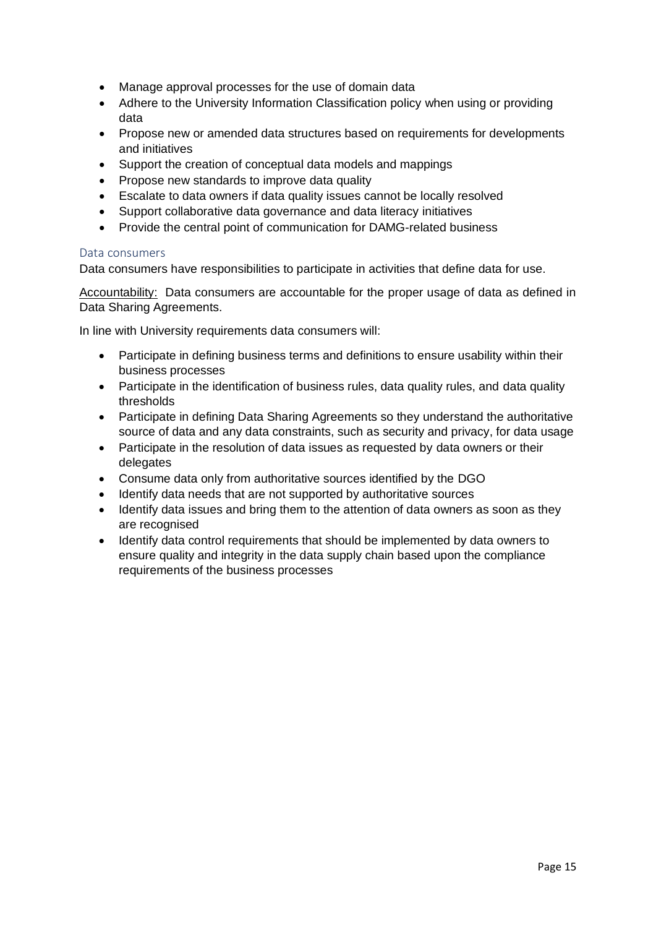- Manage approval processes for the use of domain data
- Adhere to the [University Information Classification policy](https://www.st-andrews.ac.uk/policy/information-governance-and-management-information-security/university-information-classification-policy.pdf) when using or providing data
- Propose new or amended data structures based on requirements for developments and initiatives
- Support the creation of conceptual data models and mappings
- Propose new standards to improve data quality
- Escalate to data owners if data quality issues cannot be locally resolved
- Support collaborative data governance and data literacy initiatives
- Provide the central point of communication for DAMG-related business

### Data consumers

Data consumers have responsibilities to participate in activities that define data for use.

Accountability: Data consumers are accountable for the proper usage of data as defined in Data Sharing Agreements.

In line with University requirements data consumers will:

- Participate in defining business terms and definitions to ensure usability within their business processes
- Participate in the identification of business rules, data quality rules, and data quality thresholds
- Participate in defining Data Sharing Agreements so they understand the authoritative source of data and any data constraints, such as security and privacy, for data usage
- Participate in the resolution of data issues as requested by data owners or their delegates
- Consume data only from authoritative sources identified by the DGO
- Identify data needs that are not supported by authoritative sources
- Identify data issues and bring them to the attention of data owners as soon as they are recognised
- Identify data control requirements that should be implemented by data owners to ensure quality and integrity in the data supply chain based upon the compliance requirements of the business processes